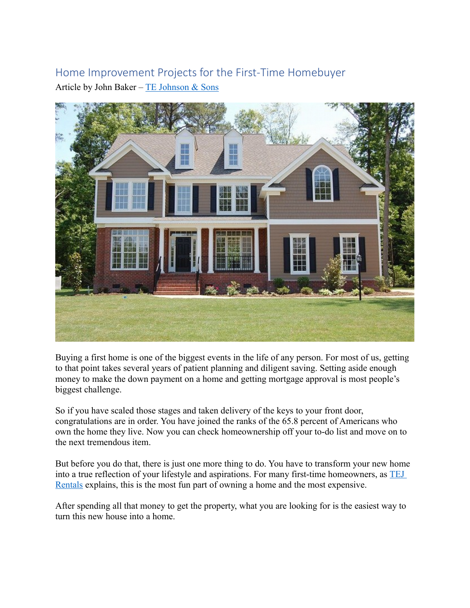# Home Improvement Projects for the First-Time Homebuyer Article by John Baker –  $TE$  Johnson & Sons



Buying a first home is one of the biggest events in the life of any person. For most of us, getting to that point takes several years of patient planning and diligent saving. Setting aside enough money to make the down payment on a home and getting mortgage approval is most people's biggest challenge.

So if you have scaled those stages and taken delivery of the keys to your front door, congratulations are in order. You have joined the ranks of the 65.8 percent of Americans who own the home they live. Now you can check homeownership off your to-do list and move on to the next tremendous item.

But before you do that, there is just one more thing to do. You have to transform your new home into a true reflection of your lifestyle and aspirations. For many first-time homeowners, as [TEJ](https://www.tejrentals.com/)  [Rentals](https://www.tejrentals.com/) explains, this is the most fun part of owning a home and the most expensive.

After spending all that money to get the property, what you are looking for is the easiest way to turn this new house into a home.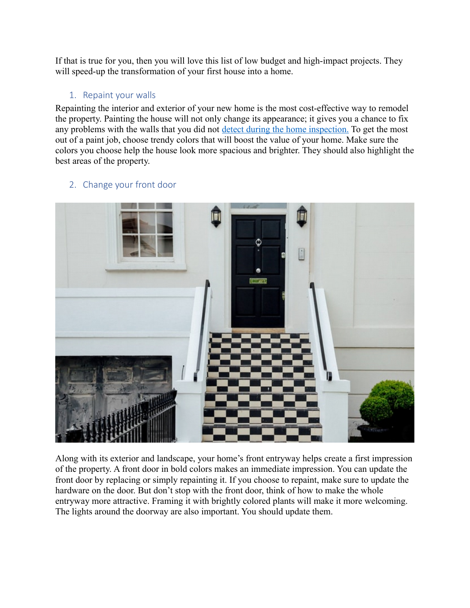If that is true for you, then you will love this list of low budget and high-impact projects. They will speed-up the transformation of your first house into a home.

#### 1. Repaint your walls

Repainting the interior and exterior of your new home is the most cost-effective way to remodel the property. Painting the house will not only change its appearance; it gives you a chance to fix any problems with the walls that you did not [detect during the home inspection.](https://www.investopedia.com/financial-edge/0511/10-reasons-you-shouldnt-skip-a-home-inspection.aspx) To get the most out of a paint job, choose trendy colors that will boost the value of your home. Make sure the colors you choose help the house look more spacious and brighter. They should also highlight the best areas of the property.



## 2. Change your front door

Along with its exterior and landscape, your home's front entryway helps create a first impression of the property. A front door in bold colors makes an immediate impression. You can update the front door by replacing or simply repainting it. If you choose to repaint, make sure to update the hardware on the door. But don't stop with the front door, think of how to make the whole entryway more attractive. Framing it with brightly colored plants will make it more welcoming. The lights around the doorway are also important. You should update them.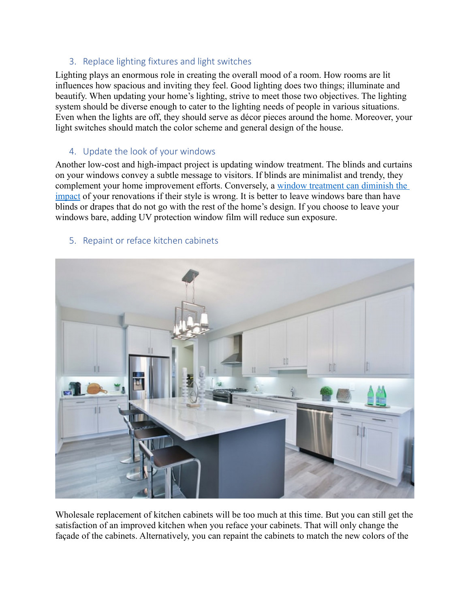### 3. Replace lighting fixtures and light switches

Lighting plays an enormous role in creating the overall mood of a room. How rooms are lit influences how spacious and inviting they feel. Good lighting does two things; illuminate and beautify. When updating your home's lighting, strive to meet those two objectives. The lighting system should be diverse enough to cater to the lighting needs of people in various situations. Even when the lights are off, they should serve as décor pieces around the home. Moreover, your light switches should match the color scheme and general design of the house.

#### 4. Update the look of your windows

Another low-cost and high-impact project is updating window treatment. The blinds and curtains on your windows convey a subtle message to visitors. If blinds are minimalist and trendy, they complement your home improvement efforts. Conversely, a [window treatment can diminish the](https://www.thespruce.com/window-treatments-for-every-room-in-the-home-1975953)  [impact](https://www.thespruce.com/window-treatments-for-every-room-in-the-home-1975953) of your renovations if their style is wrong. It is better to leave windows bare than have blinds or drapes that do not go with the rest of the home's design. If you choose to leave your windows bare, adding UV protection window film will reduce sun exposure.



#### 5. Repaint or reface kitchen cabinets

Wholesale replacement of kitchen cabinets will be too much at this time. But you can still get the satisfaction of an improved kitchen when you reface your cabinets. That will only change the façade of the cabinets. Alternatively, you can repaint the cabinets to match the new colors of the